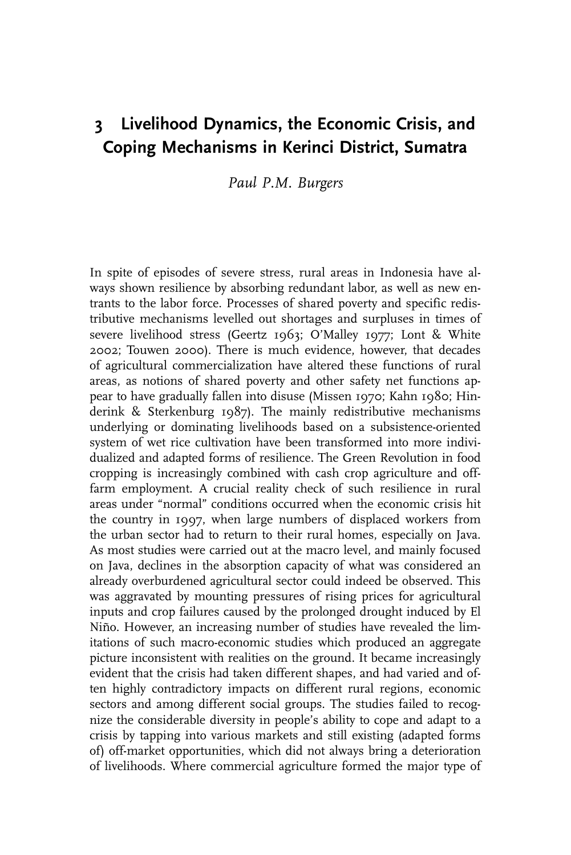# 3 Livelihood Dynamics, the Economic Crisis, and Coping Mechanisms in Kerinci District, Sumatra

Paul P.M. Burgers

In spite of episodes of severe stress, rural areas in Indonesia have always shown resilience by absorbing redundant labor, as well as new entrants to the labor force. Processes of shared poverty and specific redistributive mechanisms levelled out shortages and surpluses in times of severe livelihood stress (Geertz 1963; O'Malley 1977; Lont & White 2002; Touwen 2000). There is much evidence, however, that decades of agricultural commercialization have altered these functions of rural areas, as notions of shared poverty and other safety net functions appear to have gradually fallen into disuse (Missen 1970; Kahn 1980; Hinderink & Sterkenburg 1987). The mainly redistributive mechanisms underlying or dominating livelihoods based on a subsistence-oriented system of wet rice cultivation have been transformed into more individualized and adapted forms of resilience. The Green Revolution in food cropping is increasingly combined with cash crop agriculture and offfarm employment. A crucial reality check of such resilience in rural areas under "normal" conditions occurred when the economic crisis hit the country in 1997, when large numbers of displaced workers from the urban sector had to return to their rural homes, especially on Java. As most studies were carried out at the macro level, and mainly focused on Java, declines in the absorption capacity of what was considered an already overburdened agricultural sector could indeed be observed. This was aggravated by mounting pressures of rising prices for agricultural inputs and crop failures caused by the prolonged drought induced by El Niño. However, an increasing number of studies have revealed the limitations of such macro-economic studies which produced an aggregate picture inconsistent with realities on the ground. It became increasingly evident that the crisis had taken different shapes, and had varied and often highly contradictory impacts on different rural regions, economic sectors and among different social groups. The studies failed to recognize the considerable diversity in people's ability to cope and adapt to a crisis by tapping into various markets and still existing (adapted forms of) off-market opportunities, which did not always bring a deterioration of livelihoods. Where commercial agriculture formed the major type of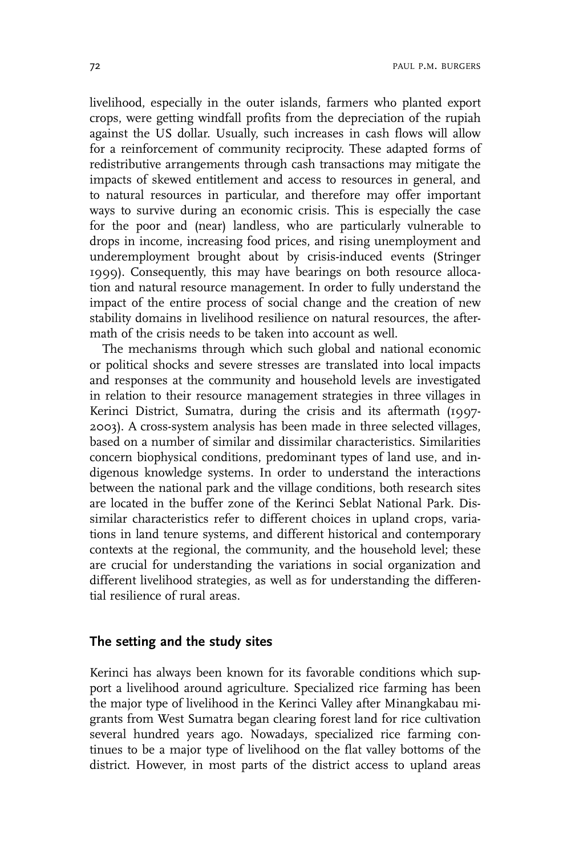livelihood, especially in the outer islands, farmers who planted export crops, were getting windfall profits from the depreciation of the rupiah against the US dollar. Usually, such increases in cash flows will allow for a reinforcement of community reciprocity. These adapted forms of redistributive arrangements through cash transactions may mitigate the impacts of skewed entitlement and access to resources in general, and to natural resources in particular, and therefore may offer important ways to survive during an economic crisis. This is especially the case for the poor and (near) landless, who are particularly vulnerable to drops in income, increasing food prices, and rising unemployment and underemployment brought about by crisis-induced events (Stringer 1999). Consequently, this may have bearings on both resource allocation and natural resource management. In order to fully understand the impact of the entire process of social change and the creation of new stability domains in livelihood resilience on natural resources, the aftermath of the crisis needs to be taken into account as well.

The mechanisms through which such global and national economic or political shocks and severe stresses are translated into local impacts and responses at the community and household levels are investigated in relation to their resource management strategies in three villages in Kerinci District, Sumatra, during the crisis and its aftermath (1997- 2003). A cross-system analysis has been made in three selected villages, based on a number of similar and dissimilar characteristics. Similarities concern biophysical conditions, predominant types of land use, and indigenous knowledge systems. In order to understand the interactions between the national park and the village conditions, both research sites are located in the buffer zone of the Kerinci Seblat National Park. Dissimilar characteristics refer to different choices in upland crops, variations in land tenure systems, and different historical and contemporary contexts at the regional, the community, and the household level; these are crucial for understanding the variations in social organization and different livelihood strategies, as well as for understanding the differential resilience of rural areas.

#### The setting and the study sites

Kerinci has always been known for its favorable conditions which support a livelihood around agriculture. Specialized rice farming has been the major type of livelihood in the Kerinci Valley after Minangkabau migrants from West Sumatra began clearing forest land for rice cultivation several hundred years ago. Nowadays, specialized rice farming continues to be a major type of livelihood on the flat valley bottoms of the district. However, in most parts of the district access to upland areas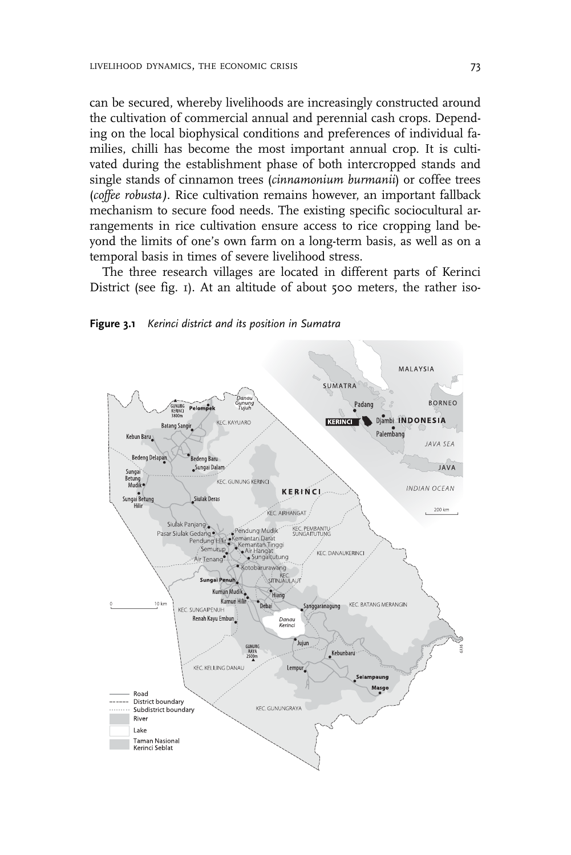can be secured, whereby livelihoods are increasingly constructed around the cultivation of commercial annual and perennial cash crops. Depending on the local biophysical conditions and preferences of individual families, chilli has become the most important annual crop. It is cultivated during the establishment phase of both intercropped stands and single stands of cinnamon trees (cinnamonium burmanii) or coffee trees (coffee robusta). Rice cultivation remains however, an important fallback mechanism to secure food needs. The existing specific sociocultural arrangements in rice cultivation ensure access to rice cropping land beyond the limits of one's own farm on a long-term basis, as well as on a temporal basis in times of severe livelihood stress.

The three research villages are located in different parts of Kerinci District (see fig. 1). At an altitude of about 500 meters, the rather iso-

Figure 3.1 Kerinci district and its position in Sumatra

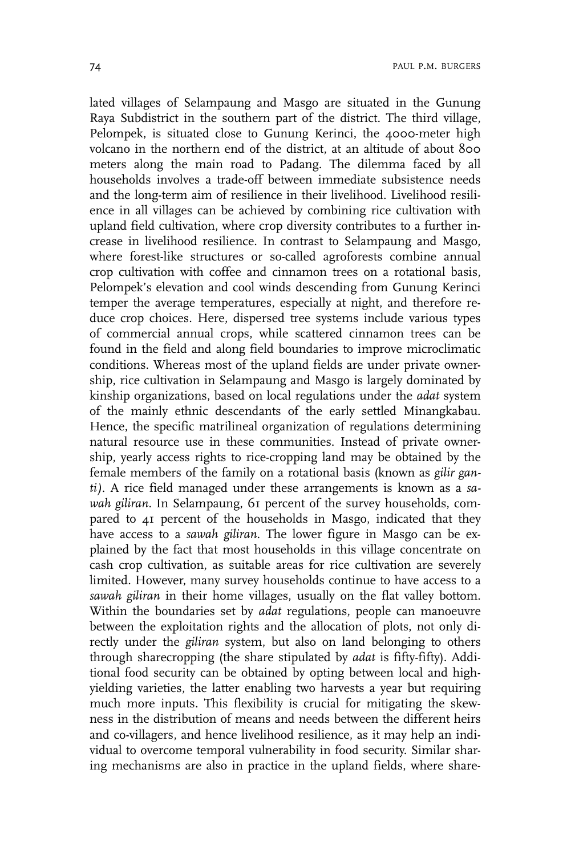lated villages of Selampaung and Masgo are situated in the Gunung Raya Subdistrict in the southern part of the district. The third village, Pelompek, is situated close to Gunung Kerinci, the 4000-meter high volcano in the northern end of the district, at an altitude of about 800 meters along the main road to Padang. The dilemma faced by all households involves a trade-off between immediate subsistence needs and the long-term aim of resilience in their livelihood. Livelihood resilience in all villages can be achieved by combining rice cultivation with upland field cultivation, where crop diversity contributes to a further increase in livelihood resilience. In contrast to Selampaung and Masgo, where forest-like structures or so-called agroforests combine annual crop cultivation with coffee and cinnamon trees on a rotational basis, Pelompek's elevation and cool winds descending from Gunung Kerinci temper the average temperatures, especially at night, and therefore reduce crop choices. Here, dispersed tree systems include various types of commercial annual crops, while scattered cinnamon trees can be found in the field and along field boundaries to improve microclimatic conditions. Whereas most of the upland fields are under private ownership, rice cultivation in Selampaung and Masgo is largely dominated by kinship organizations, based on local regulations under the adat system of the mainly ethnic descendants of the early settled Minangkabau. Hence, the specific matrilineal organization of regulations determining natural resource use in these communities. Instead of private ownership, yearly access rights to rice-cropping land may be obtained by the female members of the family on a rotational basis (known as gilir ganti). A rice field managed under these arrangements is known as a sawah giliran. In Selampaung, 61 percent of the survey households, compared to 41 percent of the households in Masgo, indicated that they have access to a sawah giliran. The lower figure in Masgo can be explained by the fact that most households in this village concentrate on cash crop cultivation, as suitable areas for rice cultivation are severely limited. However, many survey households continue to have access to a sawah giliran in their home villages, usually on the flat valley bottom. Within the boundaries set by adat regulations, people can manoeuvre between the exploitation rights and the allocation of plots, not only directly under the giliran system, but also on land belonging to others through sharecropping (the share stipulated by adat is fifty-fifty). Additional food security can be obtained by opting between local and highyielding varieties, the latter enabling two harvests a year but requiring much more inputs. This flexibility is crucial for mitigating the skewness in the distribution of means and needs between the different heirs and co-villagers, and hence livelihood resilience, as it may help an individual to overcome temporal vulnerability in food security. Similar sharing mechanisms are also in practice in the upland fields, where share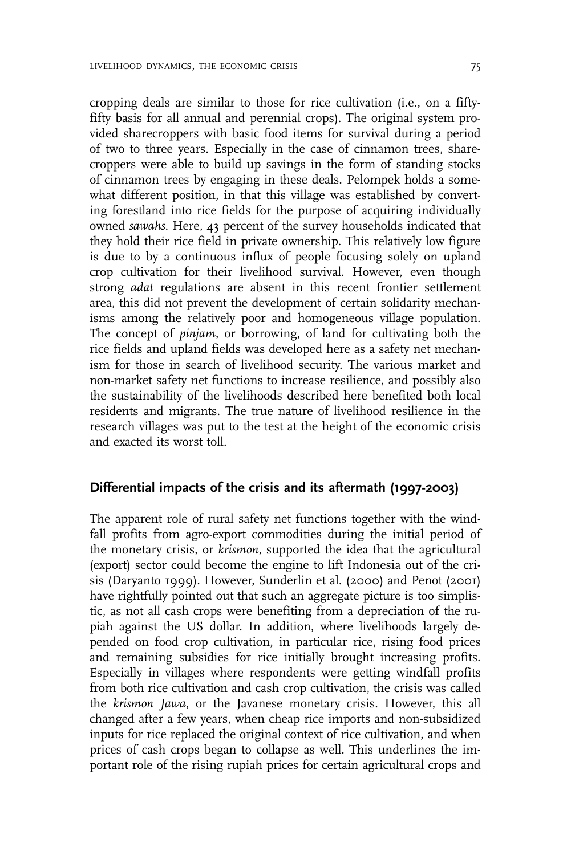cropping deals are similar to those for rice cultivation (i.e., on a fiftyfifty basis for all annual and perennial crops). The original system provided sharecroppers with basic food items for survival during a period of two to three years. Especially in the case of cinnamon trees, sharecroppers were able to build up savings in the form of standing stocks of cinnamon trees by engaging in these deals. Pelompek holds a somewhat different position, in that this village was established by converting forestland into rice fields for the purpose of acquiring individually owned sawahs. Here, 43 percent of the survey households indicated that they hold their rice field in private ownership. This relatively low figure is due to by a continuous influx of people focusing solely on upland crop cultivation for their livelihood survival. However, even though strong adat regulations are absent in this recent frontier settlement area, this did not prevent the development of certain solidarity mechanisms among the relatively poor and homogeneous village population. The concept of pinjam, or borrowing, of land for cultivating both the rice fields and upland fields was developed here as a safety net mechanism for those in search of livelihood security. The various market and non-market safety net functions to increase resilience, and possibly also the sustainability of the livelihoods described here benefited both local residents and migrants. The true nature of livelihood resilience in the research villages was put to the test at the height of the economic crisis and exacted its worst toll.

# Differential impacts of the crisis and its aftermath (1997-2003)

The apparent role of rural safety net functions together with the windfall profits from agro-export commodities during the initial period of the monetary crisis, or krismon, supported the idea that the agricultural (export) sector could become the engine to lift Indonesia out of the crisis (Daryanto 1999). However, Sunderlin et al. (2000) and Penot (2001) have rightfully pointed out that such an aggregate picture is too simplistic, as not all cash crops were benefiting from a depreciation of the rupiah against the US dollar. In addition, where livelihoods largely depended on food crop cultivation, in particular rice, rising food prices and remaining subsidies for rice initially brought increasing profits. Especially in villages where respondents were getting windfall profits from both rice cultivation and cash crop cultivation, the crisis was called the krismon Jawa, or the Javanese monetary crisis. However, this all changed after a few years, when cheap rice imports and non-subsidized inputs for rice replaced the original context of rice cultivation, and when prices of cash crops began to collapse as well. This underlines the important role of the rising rupiah prices for certain agricultural crops and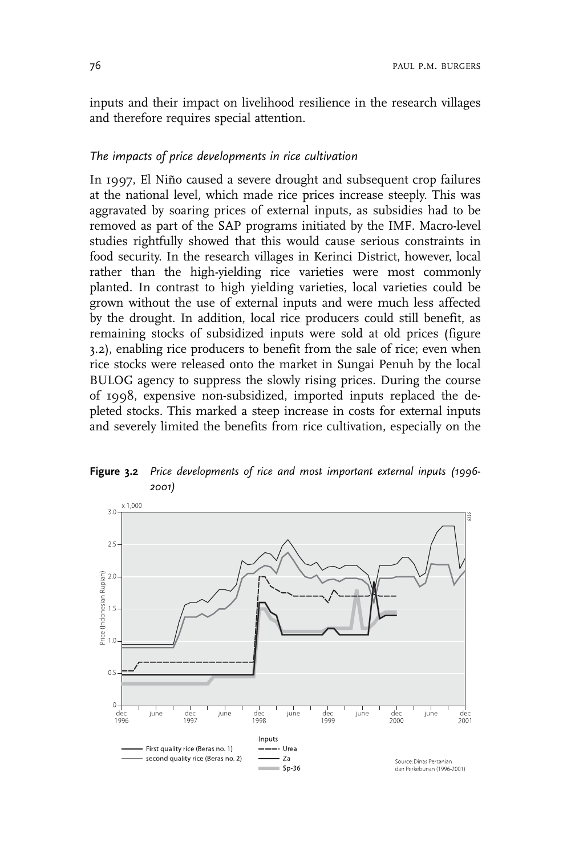inputs and their impact on livelihood resilience in the research villages and therefore requires special attention.

## The impacts of price developments in rice cultivation

In 1997, El Niño caused a severe drought and subsequent crop failures at the national level, which made rice prices increase steeply. This was aggravated by soaring prices of external inputs, as subsidies had to be removed as part of the SAP programs initiated by the IMF. Macro-level studies rightfully showed that this would cause serious constraints in food security. In the research villages in Kerinci District, however, local rather than the high-yielding rice varieties were most commonly planted. In contrast to high yielding varieties, local varieties could be grown without the use of external inputs and were much less affected by the drought. In addition, local rice producers could still benefit, as remaining stocks of subsidized inputs were sold at old prices (figure 3.2), enabling rice producers to benefit from the sale of rice; even when rice stocks were released onto the market in Sungai Penuh by the local BULOG agency to suppress the slowly rising prices. During the course of 1998, expensive non-subsidized, imported inputs replaced the depleted stocks. This marked a steep increase in costs for external inputs and severely limited the benefits from rice cultivation, especially on the



Figure 3.2 Price developments of rice and most important external inputs (1996-2001)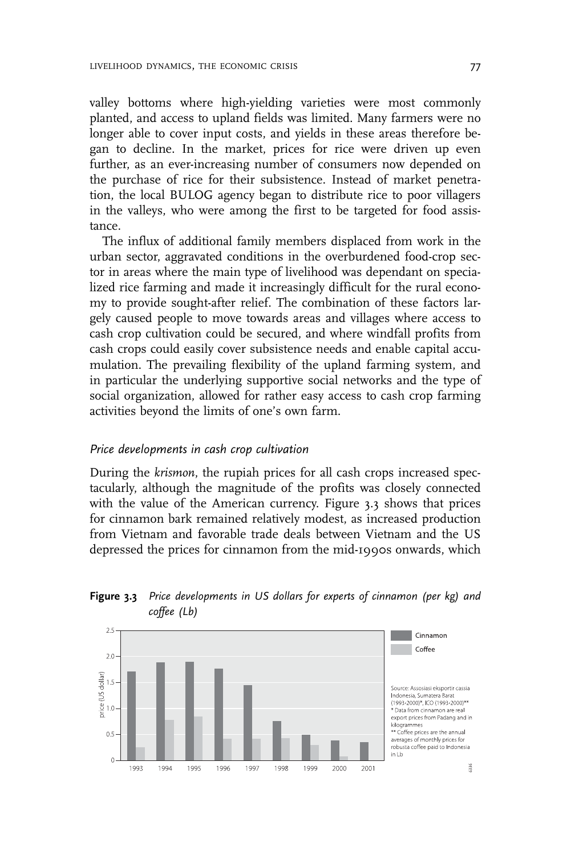valley bottoms where high-yielding varieties were most commonly planted, and access to upland fields was limited. Many farmers were no longer able to cover input costs, and yields in these areas therefore began to decline. In the market, prices for rice were driven up even further, as an ever-increasing number of consumers now depended on the purchase of rice for their subsistence. Instead of market penetration, the local BULOG agency began to distribute rice to poor villagers in the valleys, who were among the first to be targeted for food assistance.

The influx of additional family members displaced from work in the urban sector, aggravated conditions in the overburdened food-crop sector in areas where the main type of livelihood was dependant on specialized rice farming and made it increasingly difficult for the rural economy to provide sought-after relief. The combination of these factors largely caused people to move towards areas and villages where access to cash crop cultivation could be secured, and where windfall profits from cash crops could easily cover subsistence needs and enable capital accumulation. The prevailing flexibility of the upland farming system, and in particular the underlying supportive social networks and the type of social organization, allowed for rather easy access to cash crop farming activities beyond the limits of one's own farm.

#### Price developments in cash crop cultivation

During the krismon, the rupiah prices for all cash crops increased spectacularly, although the magnitude of the profits was closely connected with the value of the American currency. Figure 3.3 shows that prices for cinnamon bark remained relatively modest, as increased production from Vietnam and favorable trade deals between Vietnam and the US depressed the prices for cinnamon from the mid-1990s onwards, which



Figure 3.3 Price developments in US dollars for experts of cinnamon (per kg) and coffee (Lb)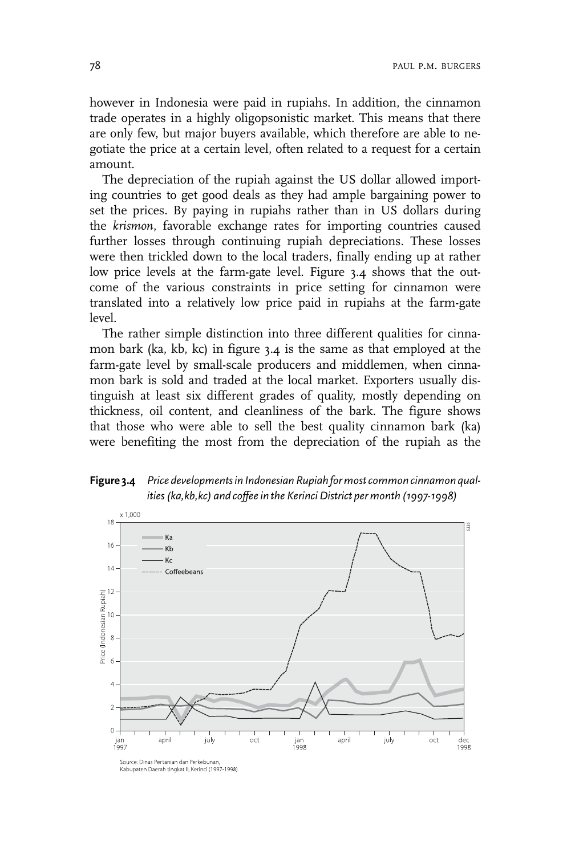however in Indonesia were paid in rupiahs. In addition, the cinnamon trade operates in a highly oligopsonistic market. This means that there are only few, but major buyers available, which therefore are able to negotiate the price at a certain level, often related to a request for a certain amount.

The depreciation of the rupiah against the US dollar allowed importing countries to get good deals as they had ample bargaining power to set the prices. By paying in rupiahs rather than in US dollars during the krismon, favorable exchange rates for importing countries caused further losses through continuing rupiah depreciations. These losses were then trickled down to the local traders, finally ending up at rather low price levels at the farm-gate level. Figure 3.4 shows that the outcome of the various constraints in price setting for cinnamon were translated into a relatively low price paid in rupiahs at the farm-gate level.

The rather simple distinction into three different qualities for cinnamon bark (ka, kb, kc) in figure 3.4 is the same as that employed at the farm-gate level by small-scale producers and middlemen, when cinnamon bark is sold and traded at the local market. Exporters usually distinguish at least six different grades of quality, mostly depending on thickness, oil content, and cleanliness of the bark. The figure shows that those who were able to sell the best quality cinnamon bark (ka) were benefiting the most from the depreciation of the rupiah as the

## Figure 3.4 Price developments in Indonesian Rupiah for most common cinnamon qualities (ka,kb,kc) and coffee in the Kerinci District per month (1997-1998)



Source: Dinas Pertanian dan Perkebunan. Kabupaten Daerah tingkat II, Kerinci (1997-1998)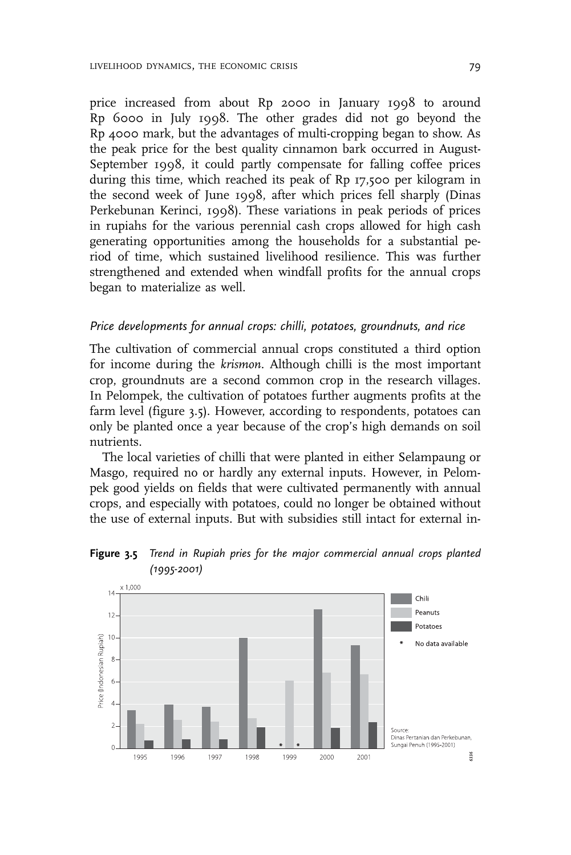price increased from about Rp 2000 in January 1998 to around Rp 6000 in July 1998. The other grades did not go beyond the Rp 4000 mark, but the advantages of multi-cropping began to show. As the peak price for the best quality cinnamon bark occurred in August-September 1998, it could partly compensate for falling coffee prices during this time, which reached its peak of Rp 17,500 per kilogram in the second week of June 1998, after which prices fell sharply (Dinas Perkebunan Kerinci, 1998). These variations in peak periods of prices in rupiahs for the various perennial cash crops allowed for high cash generating opportunities among the households for a substantial period of time, which sustained livelihood resilience. This was further strengthened and extended when windfall profits for the annual crops began to materialize as well.

## Price developments for annual crops: chilli, potatoes, groundnuts, and rice

The cultivation of commercial annual crops constituted a third option for income during the krismon. Although chilli is the most important crop, groundnuts are a second common crop in the research villages. In Pelompek, the cultivation of potatoes further augments profits at the farm level (figure 3.5). However, according to respondents, potatoes can only be planted once a year because of the crop's high demands on soil nutrients.

The local varieties of chilli that were planted in either Selampaung or Masgo, required no or hardly any external inputs. However, in Pelompek good yields on fields that were cultivated permanently with annual crops, and especially with potatoes, could no longer be obtained without the use of external inputs. But with subsidies still intact for external in-



## Figure 3.5 Trend in Rupiah pries for the major commercial annual crops planted (1995-2001)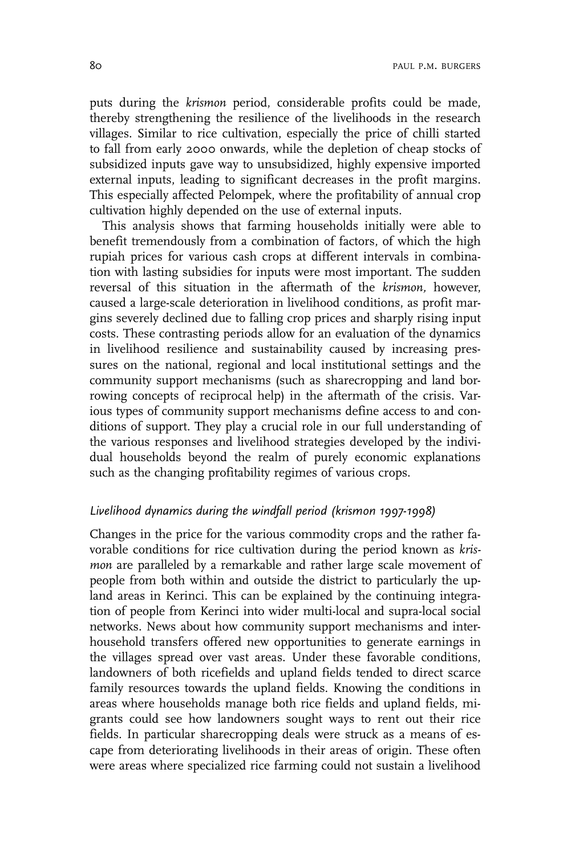puts during the krismon period, considerable profits could be made, thereby strengthening the resilience of the livelihoods in the research villages. Similar to rice cultivation, especially the price of chilli started to fall from early 2000 onwards, while the depletion of cheap stocks of subsidized inputs gave way to unsubsidized, highly expensive imported external inputs, leading to significant decreases in the profit margins. This especially affected Pelompek, where the profitability of annual crop cultivation highly depended on the use of external inputs.

This analysis shows that farming households initially were able to benefit tremendously from a combination of factors, of which the high rupiah prices for various cash crops at different intervals in combination with lasting subsidies for inputs were most important. The sudden reversal of this situation in the aftermath of the krismon, however, caused a large-scale deterioration in livelihood conditions, as profit margins severely declined due to falling crop prices and sharply rising input costs. These contrasting periods allow for an evaluation of the dynamics in livelihood resilience and sustainability caused by increasing pressures on the national, regional and local institutional settings and the community support mechanisms (such as sharecropping and land borrowing concepts of reciprocal help) in the aftermath of the crisis. Various types of community support mechanisms define access to and conditions of support. They play a crucial role in our full understanding of the various responses and livelihood strategies developed by the individual households beyond the realm of purely economic explanations such as the changing profitability regimes of various crops.

## Livelihood dynamics during the windfall period (krismon 1997-1998)

Changes in the price for the various commodity crops and the rather favorable conditions for rice cultivation during the period known as krismon are paralleled by a remarkable and rather large scale movement of people from both within and outside the district to particularly the upland areas in Kerinci. This can be explained by the continuing integration of people from Kerinci into wider multi-local and supra-local social networks. News about how community support mechanisms and interhousehold transfers offered new opportunities to generate earnings in the villages spread over vast areas. Under these favorable conditions, landowners of both ricefields and upland fields tended to direct scarce family resources towards the upland fields. Knowing the conditions in areas where households manage both rice fields and upland fields, migrants could see how landowners sought ways to rent out their rice fields. In particular sharecropping deals were struck as a means of escape from deteriorating livelihoods in their areas of origin. These often were areas where specialized rice farming could not sustain a livelihood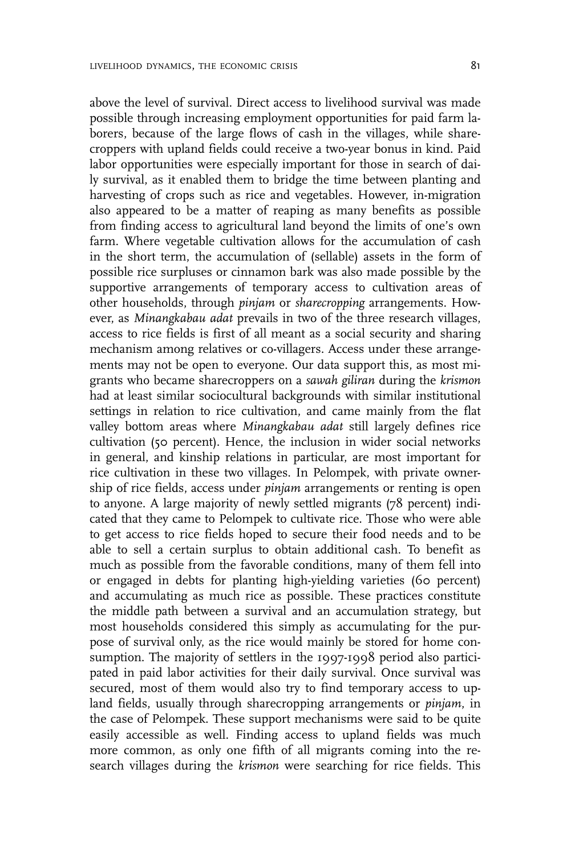above the level of survival. Direct access to livelihood survival was made possible through increasing employment opportunities for paid farm laborers, because of the large flows of cash in the villages, while sharecroppers with upland fields could receive a two-year bonus in kind. Paid labor opportunities were especially important for those in search of daily survival, as it enabled them to bridge the time between planting and harvesting of crops such as rice and vegetables. However, in-migration also appeared to be a matter of reaping as many benefits as possible from finding access to agricultural land beyond the limits of one's own farm. Where vegetable cultivation allows for the accumulation of cash in the short term, the accumulation of (sellable) assets in the form of possible rice surpluses or cinnamon bark was also made possible by the supportive arrangements of temporary access to cultivation areas of other households, through pinjam or sharecropping arrangements. However, as Minangkabau adat prevails in two of the three research villages, access to rice fields is first of all meant as a social security and sharing mechanism among relatives or co-villagers. Access under these arrangements may not be open to everyone. Our data support this, as most migrants who became sharecroppers on a sawah giliran during the krismon had at least similar sociocultural backgrounds with similar institutional settings in relation to rice cultivation, and came mainly from the flat valley bottom areas where Minangkabau adat still largely defines rice cultivation (50 percent). Hence, the inclusion in wider social networks in general, and kinship relations in particular, are most important for rice cultivation in these two villages. In Pelompek, with private ownership of rice fields, access under pinjam arrangements or renting is open to anyone. A large majority of newly settled migrants (78 percent) indicated that they came to Pelompek to cultivate rice. Those who were able to get access to rice fields hoped to secure their food needs and to be able to sell a certain surplus to obtain additional cash. To benefit as much as possible from the favorable conditions, many of them fell into or engaged in debts for planting high-yielding varieties (60 percent) and accumulating as much rice as possible. These practices constitute the middle path between a survival and an accumulation strategy, but most households considered this simply as accumulating for the purpose of survival only, as the rice would mainly be stored for home consumption. The majority of settlers in the 1997-1998 period also participated in paid labor activities for their daily survival. Once survival was secured, most of them would also try to find temporary access to upland fields, usually through sharecropping arrangements or pinjam, in the case of Pelompek. These support mechanisms were said to be quite easily accessible as well. Finding access to upland fields was much more common, as only one fifth of all migrants coming into the research villages during the krismon were searching for rice fields. This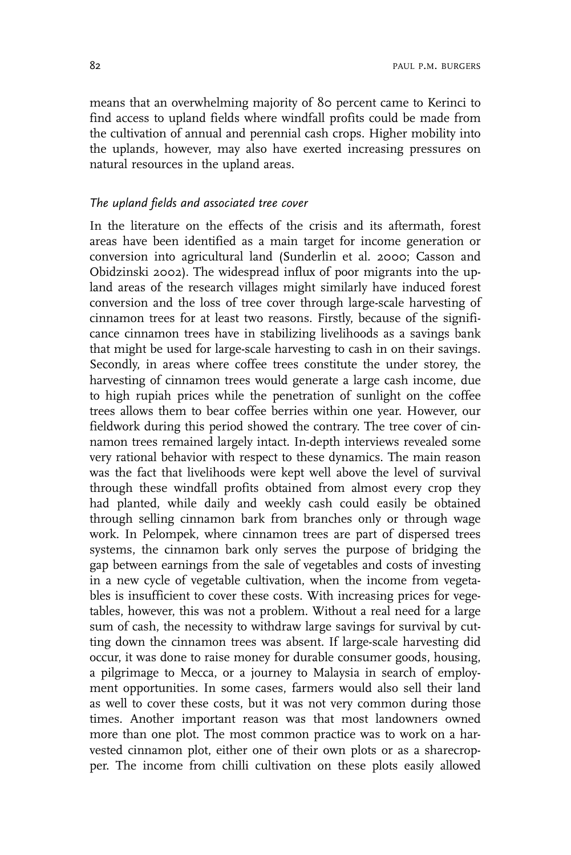means that an overwhelming majority of 80 percent came to Kerinci to find access to upland fields where windfall profits could be made from the cultivation of annual and perennial cash crops. Higher mobility into the uplands, however, may also have exerted increasing pressures on natural resources in the upland areas.

## The upland fields and associated tree cover

In the literature on the effects of the crisis and its aftermath, forest areas have been identified as a main target for income generation or conversion into agricultural land (Sunderlin et al. 2000; Casson and Obidzinski 2002). The widespread influx of poor migrants into the upland areas of the research villages might similarly have induced forest conversion and the loss of tree cover through large-scale harvesting of cinnamon trees for at least two reasons. Firstly, because of the significance cinnamon trees have in stabilizing livelihoods as a savings bank that might be used for large-scale harvesting to cash in on their savings. Secondly, in areas where coffee trees constitute the under storey, the harvesting of cinnamon trees would generate a large cash income, due to high rupiah prices while the penetration of sunlight on the coffee trees allows them to bear coffee berries within one year. However, our fieldwork during this period showed the contrary. The tree cover of cinnamon trees remained largely intact. In-depth interviews revealed some very rational behavior with respect to these dynamics. The main reason was the fact that livelihoods were kept well above the level of survival through these windfall profits obtained from almost every crop they had planted, while daily and weekly cash could easily be obtained through selling cinnamon bark from branches only or through wage work. In Pelompek, where cinnamon trees are part of dispersed trees systems, the cinnamon bark only serves the purpose of bridging the gap between earnings from the sale of vegetables and costs of investing in a new cycle of vegetable cultivation, when the income from vegetables is insufficient to cover these costs. With increasing prices for vegetables, however, this was not a problem. Without a real need for a large sum of cash, the necessity to withdraw large savings for survival by cutting down the cinnamon trees was absent. If large-scale harvesting did occur, it was done to raise money for durable consumer goods, housing, a pilgrimage to Mecca, or a journey to Malaysia in search of employment opportunities. In some cases, farmers would also sell their land as well to cover these costs, but it was not very common during those times. Another important reason was that most landowners owned more than one plot. The most common practice was to work on a harvested cinnamon plot, either one of their own plots or as a sharecropper. The income from chilli cultivation on these plots easily allowed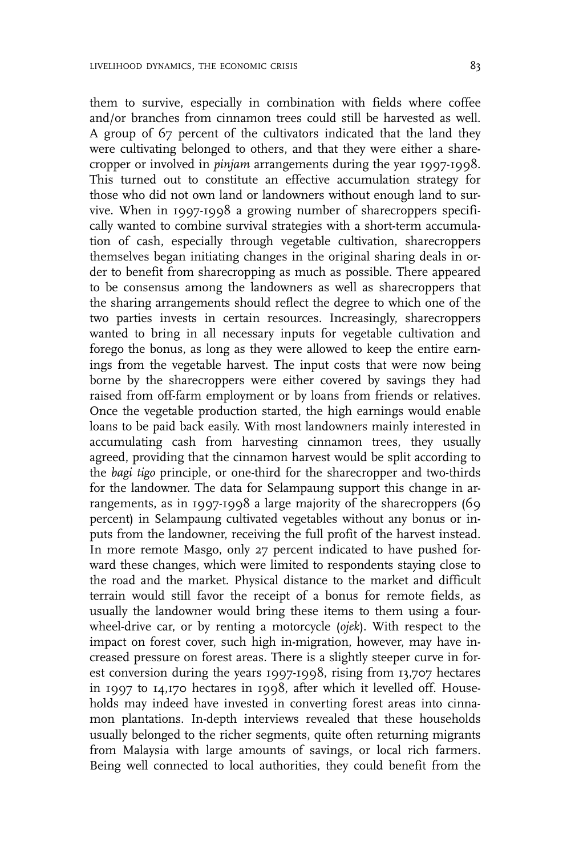them to survive, especially in combination with fields where coffee and/or branches from cinnamon trees could still be harvested as well. A group of 67 percent of the cultivators indicated that the land they were cultivating belonged to others, and that they were either a sharecropper or involved in pinjam arrangements during the year 1997-1998. This turned out to constitute an effective accumulation strategy for those who did not own land or landowners without enough land to survive. When in 1997-1998 a growing number of sharecroppers specifically wanted to combine survival strategies with a short-term accumulation of cash, especially through vegetable cultivation, sharecroppers themselves began initiating changes in the original sharing deals in order to benefit from sharecropping as much as possible. There appeared to be consensus among the landowners as well as sharecroppers that the sharing arrangements should reflect the degree to which one of the two parties invests in certain resources. Increasingly, sharecroppers wanted to bring in all necessary inputs for vegetable cultivation and forego the bonus, as long as they were allowed to keep the entire earnings from the vegetable harvest. The input costs that were now being borne by the sharecroppers were either covered by savings they had raised from off-farm employment or by loans from friends or relatives. Once the vegetable production started, the high earnings would enable loans to be paid back easily. With most landowners mainly interested in accumulating cash from harvesting cinnamon trees, they usually agreed, providing that the cinnamon harvest would be split according to the bagi tigo principle, or one-third for the sharecropper and two-thirds for the landowner. The data for Selampaung support this change in arrangements, as in 1997-1998 a large majority of the sharecroppers (69 percent) in Selampaung cultivated vegetables without any bonus or inputs from the landowner, receiving the full profit of the harvest instead. In more remote Masgo, only 27 percent indicated to have pushed forward these changes, which were limited to respondents staying close to the road and the market. Physical distance to the market and difficult terrain would still favor the receipt of a bonus for remote fields, as usually the landowner would bring these items to them using a fourwheel-drive car, or by renting a motorcycle (ojek). With respect to the impact on forest cover, such high in-migration, however, may have increased pressure on forest areas. There is a slightly steeper curve in forest conversion during the years 1997-1998, rising from 13,707 hectares in 1997 to 14,170 hectares in 1998, after which it levelled off. Households may indeed have invested in converting forest areas into cinnamon plantations. In-depth interviews revealed that these households usually belonged to the richer segments, quite often returning migrants from Malaysia with large amounts of savings, or local rich farmers. Being well connected to local authorities, they could benefit from the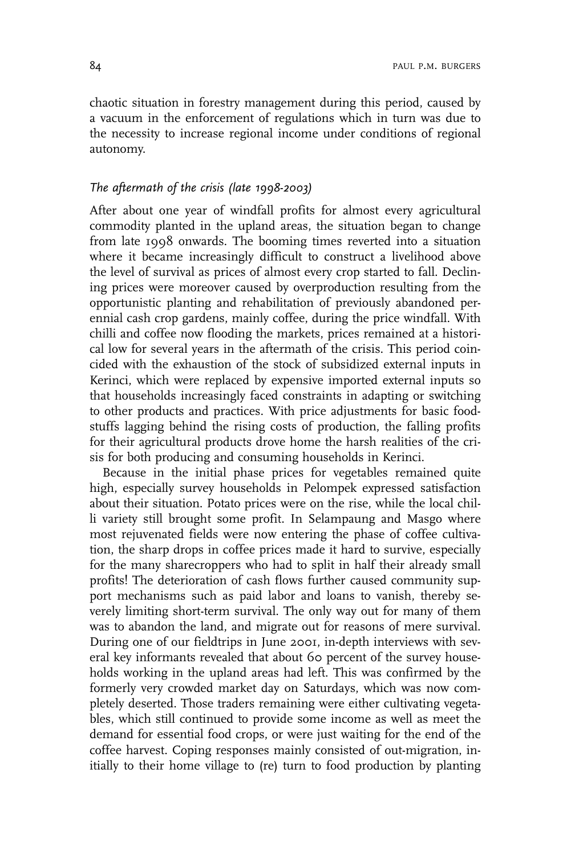chaotic situation in forestry management during this period, caused by a vacuum in the enforcement of regulations which in turn was due to the necessity to increase regional income under conditions of regional autonomy.

## The aftermath of the crisis (late 1998-2003)

After about one year of windfall profits for almost every agricultural commodity planted in the upland areas, the situation began to change from late 1998 onwards. The booming times reverted into a situation where it became increasingly difficult to construct a livelihood above the level of survival as prices of almost every crop started to fall. Declining prices were moreover caused by overproduction resulting from the opportunistic planting and rehabilitation of previously abandoned perennial cash crop gardens, mainly coffee, during the price windfall. With chilli and coffee now flooding the markets, prices remained at a historical low for several years in the aftermath of the crisis. This period coincided with the exhaustion of the stock of subsidized external inputs in Kerinci, which were replaced by expensive imported external inputs so that households increasingly faced constraints in adapting or switching to other products and practices. With price adjustments for basic foodstuffs lagging behind the rising costs of production, the falling profits for their agricultural products drove home the harsh realities of the crisis for both producing and consuming households in Kerinci.

Because in the initial phase prices for vegetables remained quite high, especially survey households in Pelompek expressed satisfaction about their situation. Potato prices were on the rise, while the local chilli variety still brought some profit. In Selampaung and Masgo where most rejuvenated fields were now entering the phase of coffee cultivation, the sharp drops in coffee prices made it hard to survive, especially for the many sharecroppers who had to split in half their already small profits! The deterioration of cash flows further caused community support mechanisms such as paid labor and loans to vanish, thereby severely limiting short-term survival. The only way out for many of them was to abandon the land, and migrate out for reasons of mere survival. During one of our fieldtrips in June 2001, in-depth interviews with several key informants revealed that about 60 percent of the survey households working in the upland areas had left. This was confirmed by the formerly very crowded market day on Saturdays, which was now completely deserted. Those traders remaining were either cultivating vegetables, which still continued to provide some income as well as meet the demand for essential food crops, or were just waiting for the end of the coffee harvest. Coping responses mainly consisted of out-migration, initially to their home village to (re) turn to food production by planting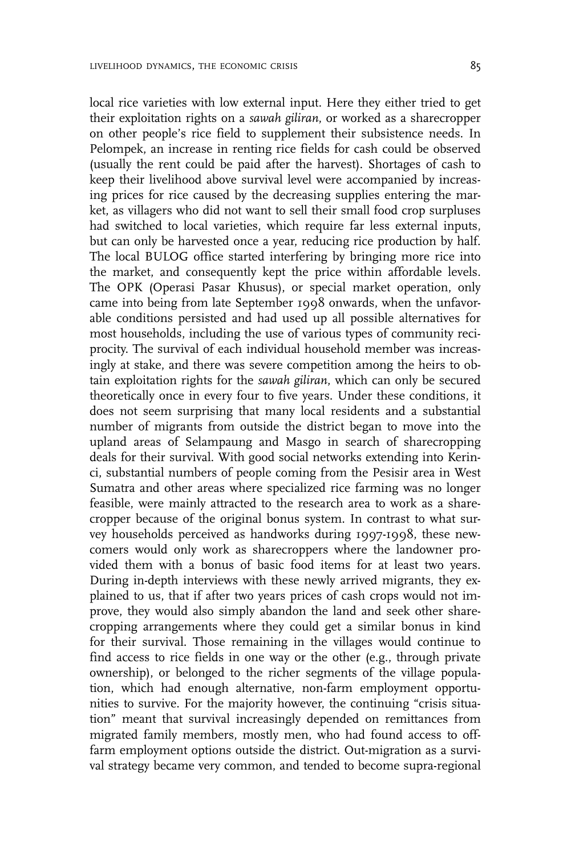local rice varieties with low external input. Here they either tried to get their exploitation rights on a sawah giliran, or worked as a sharecropper on other people's rice field to supplement their subsistence needs. In Pelompek, an increase in renting rice fields for cash could be observed (usually the rent could be paid after the harvest). Shortages of cash to keep their livelihood above survival level were accompanied by increasing prices for rice caused by the decreasing supplies entering the market, as villagers who did not want to sell their small food crop surpluses had switched to local varieties, which require far less external inputs, but can only be harvested once a year, reducing rice production by half. The local BULOG office started interfering by bringing more rice into the market, and consequently kept the price within affordable levels. The OPK (Operasi Pasar Khusus), or special market operation, only came into being from late September 1998 onwards, when the unfavorable conditions persisted and had used up all possible alternatives for most households, including the use of various types of community reciprocity. The survival of each individual household member was increasingly at stake, and there was severe competition among the heirs to obtain exploitation rights for the sawah giliran, which can only be secured theoretically once in every four to five years. Under these conditions, it does not seem surprising that many local residents and a substantial number of migrants from outside the district began to move into the upland areas of Selampaung and Masgo in search of sharecropping deals for their survival. With good social networks extending into Kerinci, substantial numbers of people coming from the Pesisir area in West Sumatra and other areas where specialized rice farming was no longer feasible, were mainly attracted to the research area to work as a sharecropper because of the original bonus system. In contrast to what survey households perceived as handworks during 1997-1998, these newcomers would only work as sharecroppers where the landowner provided them with a bonus of basic food items for at least two years. During in-depth interviews with these newly arrived migrants, they explained to us, that if after two years prices of cash crops would not improve, they would also simply abandon the land and seek other sharecropping arrangements where they could get a similar bonus in kind for their survival. Those remaining in the villages would continue to find access to rice fields in one way or the other (e.g., through private ownership), or belonged to the richer segments of the village population, which had enough alternative, non-farm employment opportunities to survive. For the majority however, the continuing "crisis situation" meant that survival increasingly depended on remittances from migrated family members, mostly men, who had found access to offfarm employment options outside the district. Out-migration as a survival strategy became very common, and tended to become supra-regional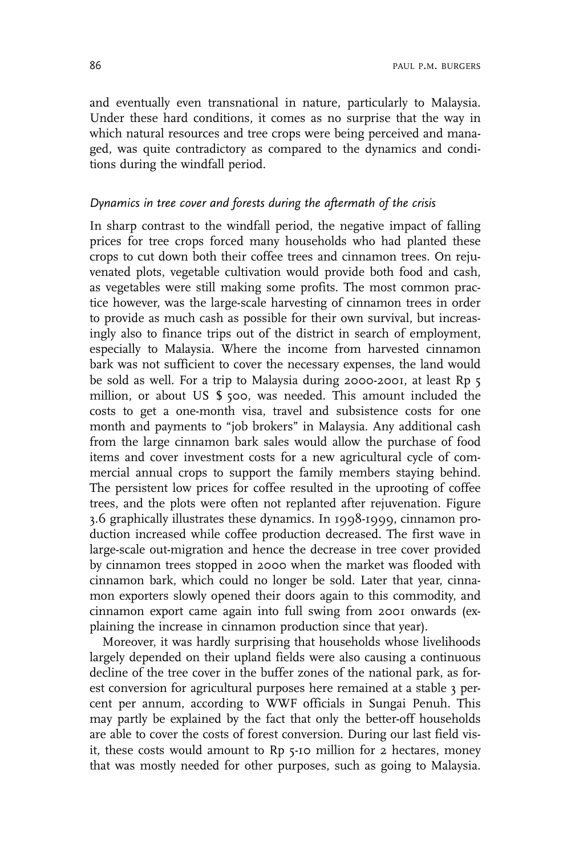and eventually even transnational in nature, particularly to Malaysia. Under these hard conditions, it comes as no surprise that the way in which natural resources and tree crops were being perceived and managed, was quite contradictory as compared to the dynamics and conditions during the windfall period.

## Dynamics in tree cover and forests during the aftermath of the crisis

In sharp contrast to the windfall period, the negative impact of falling prices for tree crops forced many households who had planted these crops to cut down both their coffee trees and cinnamon trees. On rejuvenated plots, vegetable cultivation would provide both food and cash, as vegetables were still making some profits. The most common practice however, was the large-scale harvesting of cinnamon trees in order to provide as much cash as possible for their own survival, but increasingly also to finance trips out of the district in search of employment, especially to Malaysia. Where the income from harvested cinnamon bark was not sufficient to cover the necessary expenses, the land would be sold as well. For a trip to Malaysia during 2000-2001, at least Rp 5 million, or about US \$ 500, was needed. This amount included the costs to get a one-month visa, travel and subsistence costs for one month and payments to "job brokers" in Malaysia. Any additional cash from the large cinnamon bark sales would allow the purchase of food items and cover investment costs for a new agricultural cycle of commercial annual crops to support the family members staying behind. The persistent low prices for coffee resulted in the uprooting of coffee trees, and the plots were often not replanted after rejuvenation. Figure 3.6 graphically illustrates these dynamics. In 1998-1999, cinnamon production increased while coffee production decreased. The first wave in large-scale out-migration and hence the decrease in tree cover provided by cinnamon trees stopped in 2000 when the market was flooded with cinnamon bark, which could no longer be sold. Later that year, cinnamon exporters slowly opened their doors again to this commodity, and cinnamon export came again into full swing from 2001 onwards (explaining the increase in cinnamon production since that year).

Moreover, it was hardly surprising that households whose livelihoods largely depended on their upland fields were also causing a continuous decline of the tree cover in the buffer zones of the national park, as forest conversion for agricultural purposes here remained at a stable 3 percent per annum, according to WWF officials in Sungai Penuh. This may partly be explained by the fact that only the better-off households are able to cover the costs of forest conversion. During our last field visit, these costs would amount to Rp 5-10 million for 2 hectares, money that was mostly needed for other purposes, such as going to Malaysia.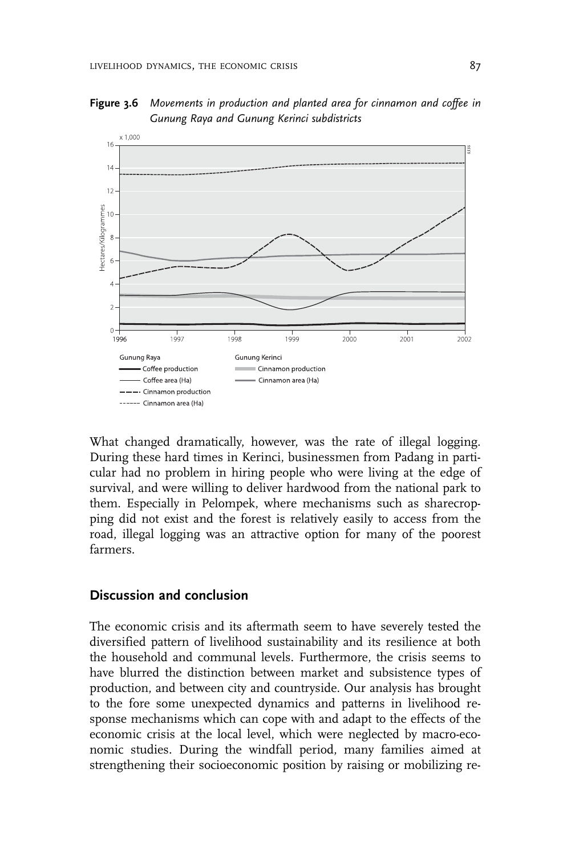Figure 3.6 Movements in production and planted area for cinnamon and coffee in Gunung Raya and Gunung Kerinci subdistricts



What changed dramatically, however, was the rate of illegal logging. During these hard times in Kerinci, businessmen from Padang in particular had no problem in hiring people who were living at the edge of survival, and were willing to deliver hardwood from the national park to them. Especially in Pelompek, where mechanisms such as sharecropping did not exist and the forest is relatively easily to access from the road, illegal logging was an attractive option for many of the poorest farmers.

# Discussion and conclusion

The economic crisis and its aftermath seem to have severely tested the diversified pattern of livelihood sustainability and its resilience at both the household and communal levels. Furthermore, the crisis seems to have blurred the distinction between market and subsistence types of production, and between city and countryside. Our analysis has brought to the fore some unexpected dynamics and patterns in livelihood response mechanisms which can cope with and adapt to the effects of the economic crisis at the local level, which were neglected by macro-economic studies. During the windfall period, many families aimed at strengthening their socioeconomic position by raising or mobilizing re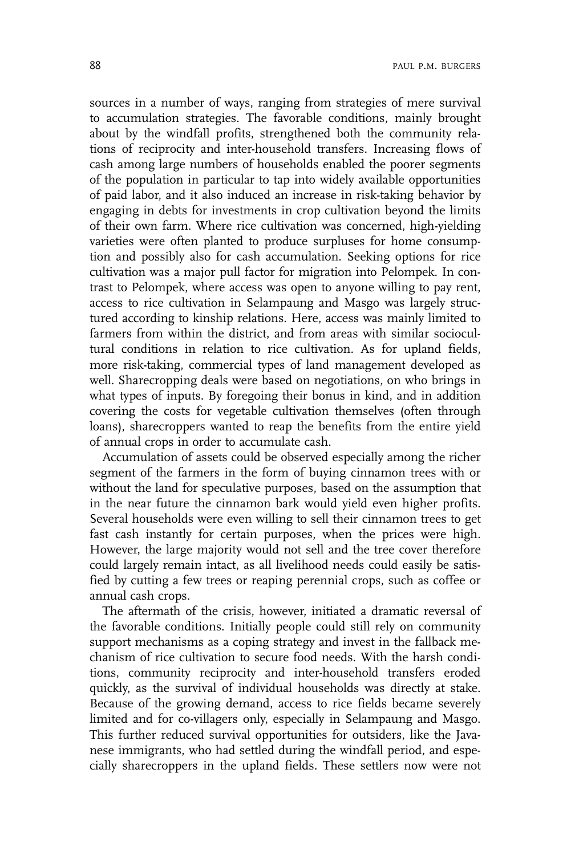sources in a number of ways, ranging from strategies of mere survival to accumulation strategies. The favorable conditions, mainly brought about by the windfall profits, strengthened both the community relations of reciprocity and inter-household transfers. Increasing flows of cash among large numbers of households enabled the poorer segments of the population in particular to tap into widely available opportunities of paid labor, and it also induced an increase in risk-taking behavior by engaging in debts for investments in crop cultivation beyond the limits of their own farm. Where rice cultivation was concerned, high-yielding varieties were often planted to produce surpluses for home consumption and possibly also for cash accumulation. Seeking options for rice cultivation was a major pull factor for migration into Pelompek. In contrast to Pelompek, where access was open to anyone willing to pay rent, access to rice cultivation in Selampaung and Masgo was largely structured according to kinship relations. Here, access was mainly limited to farmers from within the district, and from areas with similar sociocultural conditions in relation to rice cultivation. As for upland fields, more risk-taking, commercial types of land management developed as well. Sharecropping deals were based on negotiations, on who brings in what types of inputs. By foregoing their bonus in kind, and in addition covering the costs for vegetable cultivation themselves (often through loans), sharecroppers wanted to reap the benefits from the entire yield of annual crops in order to accumulate cash.

Accumulation of assets could be observed especially among the richer segment of the farmers in the form of buying cinnamon trees with or without the land for speculative purposes, based on the assumption that in the near future the cinnamon bark would yield even higher profits. Several households were even willing to sell their cinnamon trees to get fast cash instantly for certain purposes, when the prices were high. However, the large majority would not sell and the tree cover therefore could largely remain intact, as all livelihood needs could easily be satisfied by cutting a few trees or reaping perennial crops, such as coffee or annual cash crops.

The aftermath of the crisis, however, initiated a dramatic reversal of the favorable conditions. Initially people could still rely on community support mechanisms as a coping strategy and invest in the fallback mechanism of rice cultivation to secure food needs. With the harsh conditions, community reciprocity and inter-household transfers eroded quickly, as the survival of individual households was directly at stake. Because of the growing demand, access to rice fields became severely limited and for co-villagers only, especially in Selampaung and Masgo. This further reduced survival opportunities for outsiders, like the Javanese immigrants, who had settled during the windfall period, and especially sharecroppers in the upland fields. These settlers now were not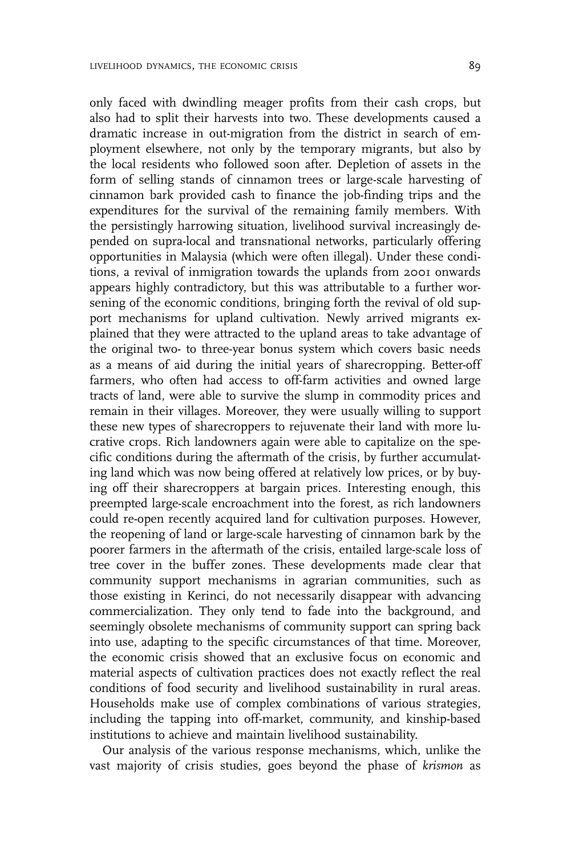only faced with dwindling meager profits from their cash crops, but also had to split their harvests into two. These developments caused a dramatic increase in out-migration from the district in search of employment elsewhere, not only by the temporary migrants, but also by the local residents who followed soon after. Depletion of assets in the form of selling stands of cinnamon trees or large-scale harvesting of cinnamon bark provided cash to finance the job-finding trips and the expenditures for the survival of the remaining family members. With the persistingly harrowing situation, livelihood survival increasingly depended on supra-local and transnational networks, particularly offering opportunities in Malaysia (which were often illegal). Under these conditions, a revival of inmigration towards the uplands from 2001 onwards appears highly contradictory, but this was attributable to a further worsening of the economic conditions, bringing forth the revival of old support mechanisms for upland cultivation. Newly arrived migrants explained that they were attracted to the upland areas to take advantage of the original two- to three-year bonus system which covers basic needs as a means of aid during the initial years of sharecropping. Better-off farmers, who often had access to off-farm activities and owned large tracts of land, were able to survive the slump in commodity prices and remain in their villages. Moreover, they were usually willing to support these new types of sharecroppers to rejuvenate their land with more lucrative crops. Rich landowners again were able to capitalize on the specific conditions during the aftermath of the crisis, by further accumulating land which was now being offered at relatively low prices, or by buying off their sharecroppers at bargain prices. Interesting enough, this preempted large-scale encroachment into the forest, as rich landowners could re-open recently acquired land for cultivation purposes. However, the reopening of land or large-scale harvesting of cinnamon bark by the poorer farmers in the aftermath of the crisis, entailed large-scale loss of tree cover in the buffer zones. These developments made clear that community support mechanisms in agrarian communities, such as those existing in Kerinci, do not necessarily disappear with advancing commercialization. They only tend to fade into the background, and seemingly obsolete mechanisms of community support can spring back into use, adapting to the specific circumstances of that time. Moreover, the economic crisis showed that an exclusive focus on economic and material aspects of cultivation practices does not exactly reflect the real conditions of food security and livelihood sustainability in rural areas. Households make use of complex combinations of various strategies, including the tapping into off-market, community, and kinship-based institutions to achieve and maintain livelihood sustainability.

Our analysis of the various response mechanisms, which, unlike the vast majority of crisis studies, goes beyond the phase of krismon as